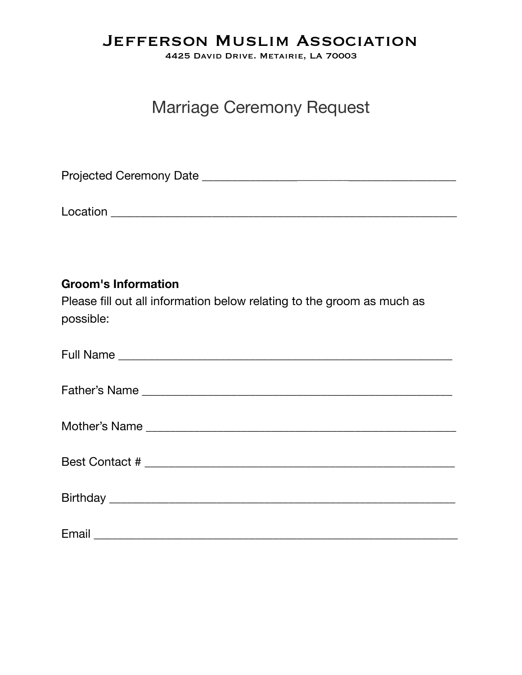### Jefferson Muslim Association

4425 David Drive. Metairie, LA 70003

# Marriage Ceremony Request

Projected Ceremony Date \_\_\_\_\_\_\_\_\_\_\_\_\_\_\_\_\_\_\_\_\_\_\_\_\_\_\_\_\_\_\_\_\_\_\_\_\_\_\_\_\_\_\_\_

Location **Execution** and the set of the set of the set of the set of the set of the set of the set of the set of the set of the set of the set of the set of the set of the set of the set of the set of the set of the set of

#### **Groom's Information**

Please fill out all information below relating to the groom as much as possible: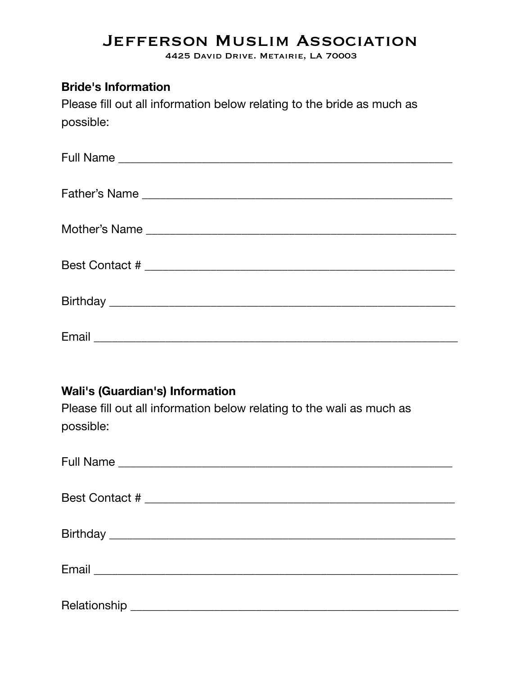## Jefferson Muslim Association

4425 David Drive. Metairie, LA 70003

#### **Bride's Information**

Please fill out all information below relating to the bride as much as possible:

#### **Wali's (Guardian's) Information**

Please fill out all information below relating to the wali as much as possible:

| Relationship |  |
|--------------|--|